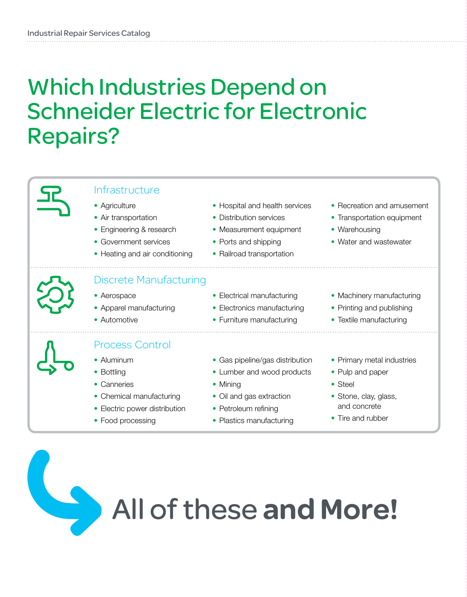### Which Industries Depend on Schneider Electric for Electronic Repairs?



#### Infrastructure

- Agriculture
- Air transportation
- Engineering & research
- Government services
- Heating and air conditioning
- Hospital and health services
- Distribution services
- Measurement equipment
- Ports and shipping
- Railroad transportation

### Discrete Manufacturing

- Aerospace
- Apparel manufacturing
- Automotive

#### Process Control

- Aluminum
- Bottling
- Canneries
- Chemical manufacturing
- Electric power distribution
- 
- Electrical manufacturing
- Electronics manufacturing
- Furniture manufacturing
- Gas pipeline/gas distribution
- Lumber and wood products
- Mining
- Oil and gas extraction
- Petroleum refining
- Plastics manufacturing

• Machinery manufacturing

• Water and wastewater

• Recreation and amusement • Transportation equipment

• Warehousing

- Printing and publishing
- Textile manufacturing
- Primary metal industries
- Pulp and paper
- Steel
- Stone, clay, glass, and concrete
- Tire and rubber

# All of these and More!

- 
- 
- 
- 
- Food processing